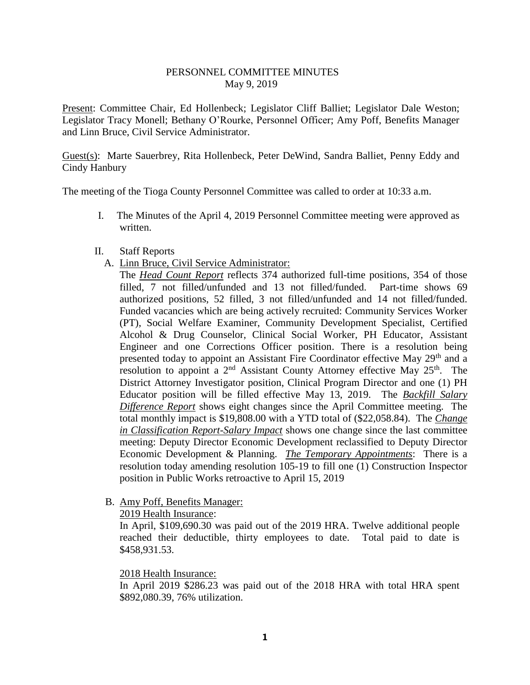### PERSONNEL COMMITTEE MINUTES May 9, 2019

Present: Committee Chair, Ed Hollenbeck; Legislator Cliff Balliet; Legislator Dale Weston; Legislator Tracy Monell; Bethany O'Rourke, Personnel Officer; Amy Poff, Benefits Manager and Linn Bruce, Civil Service Administrator.

Guest(s): Marte Sauerbrey, Rita Hollenbeck, Peter DeWind, Sandra Balliet, Penny Eddy and Cindy Hanbury

The meeting of the Tioga County Personnel Committee was called to order at 10:33 a.m.

- I. The Minutes of the April 4, 2019 Personnel Committee meeting were approved as written.
- II. Staff Reports
	- A. Linn Bruce, Civil Service Administrator:

The *Head Count Report* reflects 374 authorized full-time positions, 354 of those filled, 7 not filled/unfunded and 13 not filled/funded. Part-time shows 69 authorized positions, 52 filled, 3 not filled/unfunded and 14 not filled/funded. Funded vacancies which are being actively recruited: Community Services Worker (PT), Social Welfare Examiner, Community Development Specialist, Certified Alcohol & Drug Counselor, Clinical Social Worker, PH Educator, Assistant Engineer and one Corrections Officer position. There is a resolution being presented today to appoint an Assistant Fire Coordinator effective May 29<sup>th</sup> and a resolution to appoint a  $2<sup>nd</sup>$  Assistant County Attorney effective May  $25<sup>th</sup>$ . The District Attorney Investigator position, Clinical Program Director and one (1) PH Educator position will be filled effective May 13, 2019. The *Backfill Salary Difference Report* shows eight changes since the April Committee meeting. The total monthly impact is \$19,808.00 with a YTD total of (\$22,058.84). The *Change in Classification Report-Salary Impact* shows one change since the last committee meeting: Deputy Director Economic Development reclassified to Deputy Director Economic Development & Planning. *The Temporary Appointments*: There is a resolution today amending resolution 105-19 to fill one (1) Construction Inspector position in Public Works retroactive to April 15, 2019

B. Amy Poff, Benefits Manager:

2019 Health Insurance:

In April, \$109,690.30 was paid out of the 2019 HRA. Twelve additional people reached their deductible, thirty employees to date. Total paid to date is \$458,931.53.

### 2018 Health Insurance:

In April 2019 \$286.23 was paid out of the 2018 HRA with total HRA spent \$892,080.39, 76% utilization.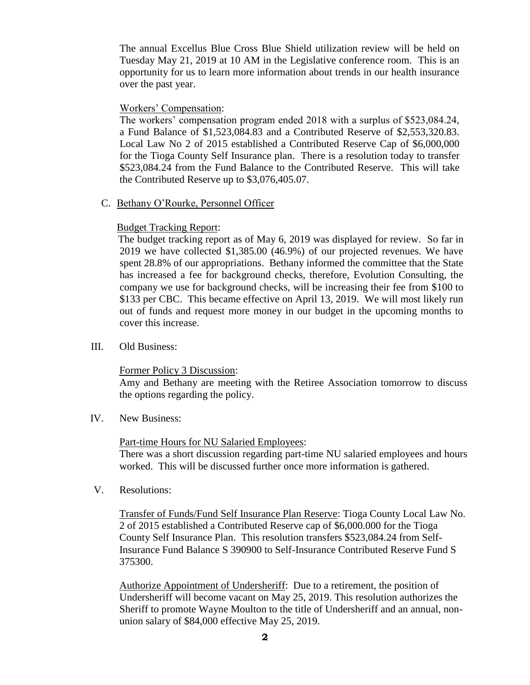The annual Excellus Blue Cross Blue Shield utilization review will be held on Tuesday May 21, 2019 at 10 AM in the Legislative conference room. This is an opportunity for us to learn more information about trends in our health insurance over the past year.

### Workers' Compensation:

The workers' compensation program ended 2018 with a surplus of \$523,084.24, a Fund Balance of \$1,523,084.83 and a Contributed Reserve of \$2,553,320.83. Local Law No 2 of 2015 established a Contributed Reserve Cap of \$6,000,000 for the Tioga County Self Insurance plan. There is a resolution today to transfer \$523,084.24 from the Fund Balance to the Contributed Reserve. This will take the Contributed Reserve up to \$3,076,405.07.

C. Bethany O'Rourke, Personnel Officer

# Budget Tracking Report:

 The budget tracking report as of May 6, 2019 was displayed for review. So far in 2019 we have collected \$1,385.00 (46.9%) of our projected revenues. We have spent 28.8% of our appropriations. Bethany informed the committee that the State has increased a fee for background checks, therefore, Evolution Consulting, the company we use for background checks, will be increasing their fee from \$100 to \$133 per CBC. This became effective on April 13, 2019. We will most likely run out of funds and request more money in our budget in the upcoming months to cover this increase.

III. Old Business:

# Former Policy 3 Discussion:

Amy and Bethany are meeting with the Retiree Association tomorrow to discuss the options regarding the policy.

IV. New Business:

# Part-time Hours for NU Salaried Employees:

There was a short discussion regarding part-time NU salaried employees and hours worked. This will be discussed further once more information is gathered.

V. Resolutions:

Transfer of Funds/Fund Self Insurance Plan Reserve: Tioga County Local Law No. 2 of 2015 established a Contributed Reserve cap of \$6,000.000 for the Tioga County Self Insurance Plan. This resolution transfers \$523,084.24 from Self-Insurance Fund Balance S 390900 to Self-Insurance Contributed Reserve Fund S 375300.

Authorize Appointment of Undersheriff: Due to a retirement, the position of Undersheriff will become vacant on May 25, 2019. This resolution authorizes the Sheriff to promote Wayne Moulton to the title of Undersheriff and an annual, nonunion salary of \$84,000 effective May 25, 2019.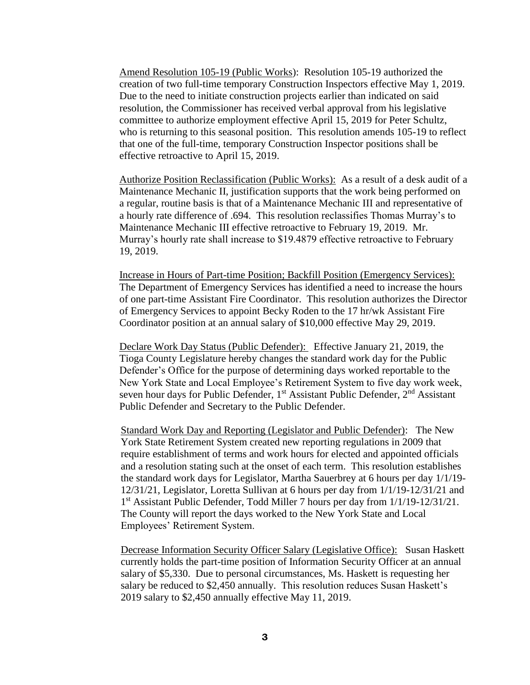Amend Resolution 105-19 (Public Works): Resolution 105-19 authorized the creation of two full-time temporary Construction Inspectors effective May 1, 2019. Due to the need to initiate construction projects earlier than indicated on said resolution, the Commissioner has received verbal approval from his legislative committee to authorize employment effective April 15, 2019 for Peter Schultz, who is returning to this seasonal position. This resolution amends 105-19 to reflect that one of the full-time, temporary Construction Inspector positions shall be effective retroactive to April 15, 2019.

Authorize Position Reclassification (Public Works): As a result of a desk audit of a Maintenance Mechanic II, justification supports that the work being performed on a regular, routine basis is that of a Maintenance Mechanic III and representative of a hourly rate difference of .694. This resolution reclassifies Thomas Murray's to Maintenance Mechanic III effective retroactive to February 19, 2019. Mr. Murray's hourly rate shall increase to \$19.4879 effective retroactive to February 19, 2019.

Increase in Hours of Part-time Position; Backfill Position (Emergency Services): The Department of Emergency Services has identified a need to increase the hours of one part-time Assistant Fire Coordinator. This resolution authorizes the Director of Emergency Services to appoint Becky Roden to the 17 hr/wk Assistant Fire Coordinator position at an annual salary of \$10,000 effective May 29, 2019.

Declare Work Day Status (Public Defender): Effective January 21, 2019, the Tioga County Legislature hereby changes the standard work day for the Public Defender's Office for the purpose of determining days worked reportable to the New York State and Local Employee's Retirement System to five day work week, seven hour days for Public Defender,  $1<sup>st</sup>$  Assistant Public Defender,  $2<sup>nd</sup>$  Assistant Public Defender and Secretary to the Public Defender.

Standard Work Day and Reporting (Legislator and Public Defender): The New York State Retirement System created new reporting regulations in 2009 that require establishment of terms and work hours for elected and appointed officials and a resolution stating such at the onset of each term. This resolution establishes the standard work days for Legislator, Martha Sauerbrey at 6 hours per day 1/1/19- 12/31/21, Legislator, Loretta Sullivan at 6 hours per day from 1/1/19-12/31/21 and 1 st Assistant Public Defender, Todd Miller 7 hours per day from 1/1/19-12/31/21. The County will report the days worked to the New York State and Local Employees' Retirement System.

Decrease Information Security Officer Salary (Legislative Office): Susan Haskett currently holds the part-time position of Information Security Officer at an annual salary of \$5,330. Due to personal circumstances, Ms. Haskett is requesting her salary be reduced to \$2,450 annually. This resolution reduces Susan Haskett's 2019 salary to \$2,450 annually effective May 11, 2019.